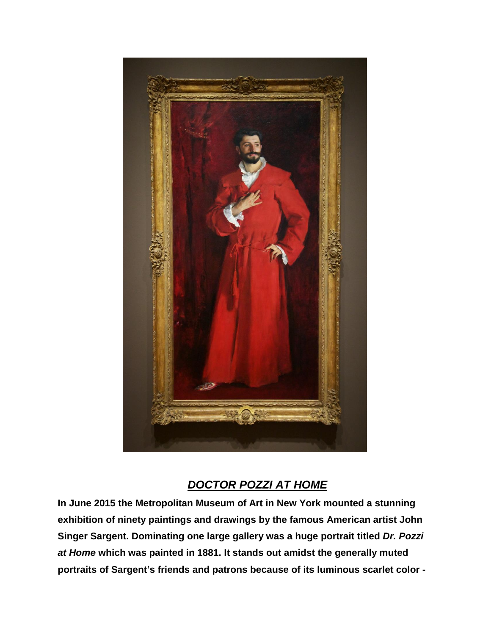

## *DOCTOR POZZI AT HOME*

**In June 2015 the Metropolitan Museum of Art in New York mounted a stunning exhibition of ninety paintings and drawings by the famous American artist John Singer Sargent. Dominating one large gallery was a huge portrait titled** *Dr. Pozzi at Home* **which was painted in 1881. It stands out amidst the generally muted portraits of Sargent's friends and patrons because of its luminous scarlet color -**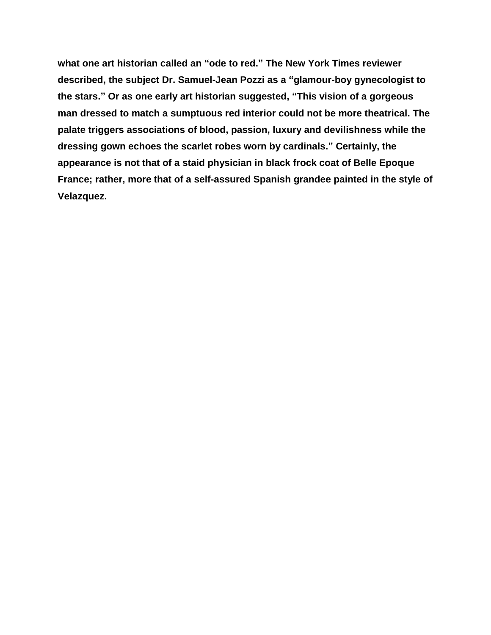**what one art historian called an "ode to red." The New York Times reviewer described, the subject Dr. Samuel-Jean Pozzi as a "glamour-boy gynecologist to the stars." Or as one early art historian suggested, "This vision of a gorgeous man dressed to match a sumptuous red interior could not be more theatrical. The palate triggers associations of blood, passion, luxury and devilishness while the dressing gown echoes the scarlet robes worn by cardinals." Certainly, the appearance is not that of a staid physician in black frock coat of Belle Epoque France; rather, more that of a self-assured Spanish grandee painted in the style of Velazquez.**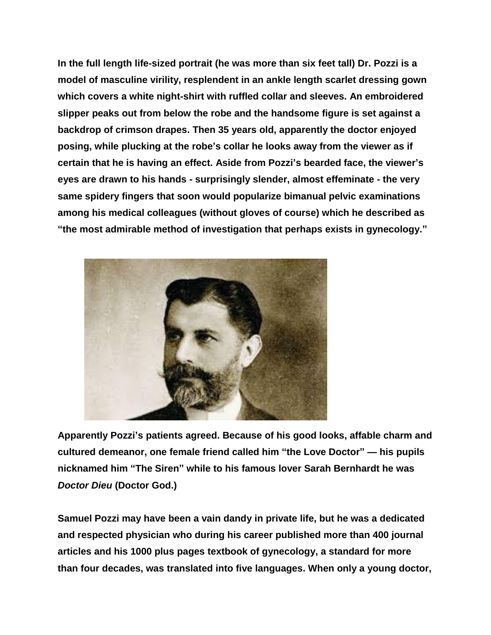**In the full length life-sized portrait (he was more than six feet tall) Dr. Pozzi is a model of masculine virility, resplendent in an ankle length scarlet dressing gown which covers a white night-shirt with ruffled collar and sleeves. An embroidered slipper peaks out from below the robe and the handsome figure is set against a backdrop of crimson drapes. Then 35 years old, apparently the doctor enjoyed posing, while plucking at the robe's collar he looks away from the viewer as if certain that he is having an effect. Aside from Pozzi's bearded face, the viewer's eyes are drawn to his hands - surprisingly slender, almost effeminate - the very same spidery fingers that soon would popularize bimanual pelvic examinations among his medical colleagues (without gloves of course) which he described as "the most admirable method of investigation that perhaps exists in gynecology."**



**Apparently Pozzi's patients agreed. Because of his good looks, affable charm and cultured demeanor, one female friend called him "the Love Doctor" — his pupils nicknamed him "The Siren" while to his famous lover Sarah Bernhardt he was** *Doctor Dieu* **(Doctor God.)**

**Samuel Pozzi may have been a vain dandy in private life, but he was a dedicated and respected physician who during his career published more than 400 journal articles and his 1000 plus pages textbook of gynecology, a standard for more than four decades, was translated into five languages. When only a young doctor,**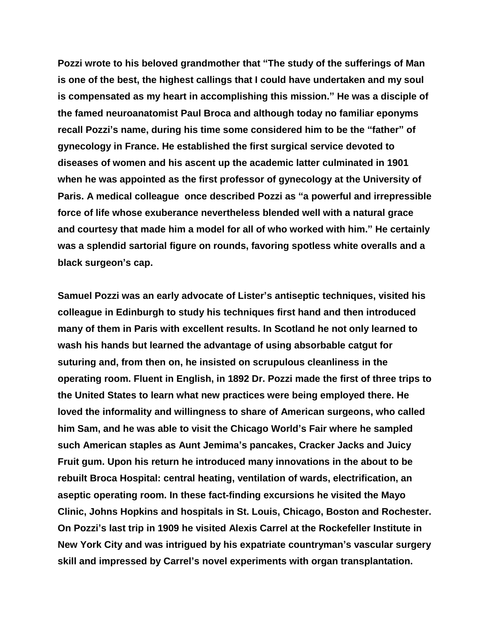**Pozzi wrote to his beloved grandmother that "The study of the sufferings of Man is one of the best, the highest callings that I could have undertaken and my soul is compensated as my heart in accomplishing this mission." He was a disciple of the famed neuroanatomist Paul Broca and although today no familiar eponyms recall Pozzi's name, during his time some considered him to be the "father" of gynecology in France. He established the first surgical service devoted to diseases of women and his ascent up the academic latter culminated in 1901 when he was appointed as the first professor of gynecology at the University of Paris. A medical colleague once described Pozzi as "a powerful and irrepressible force of life whose exuberance nevertheless blended well with a natural grace and courtesy that made him a model for all of who worked with him." He certainly was a splendid sartorial figure on rounds, favoring spotless white overalls and a black surgeon's cap.**

**Samuel Pozzi was an early advocate of Lister's antiseptic techniques, visited his colleague in Edinburgh to study his techniques first hand and then introduced many of them in Paris with excellent results. In Scotland he not only learned to wash his hands but learned the advantage of using absorbable catgut for suturing and, from then on, he insisted on scrupulous cleanliness in the operating room. Fluent in English, in 1892 Dr. Pozzi made the first of three trips to the United States to learn what new practices were being employed there. He loved the informality and willingness to share of American surgeons, who called him Sam, and he was able to visit the Chicago World's Fair where he sampled such American staples as Aunt Jemima's pancakes, Cracker Jacks and Juicy Fruit gum. Upon his return he introduced many innovations in the about to be rebuilt Broca Hospital: central heating, ventilation of wards, electrification, an aseptic operating room. In these fact-finding excursions he visited the Mayo Clinic, Johns Hopkins and hospitals in St. Louis, Chicago, Boston and Rochester. On Pozzi's last trip in 1909 he visited Alexis Carrel at the Rockefeller Institute in New York City and was intrigued by his expatriate countryman's vascular surgery skill and impressed by Carrel's novel experiments with organ transplantation.**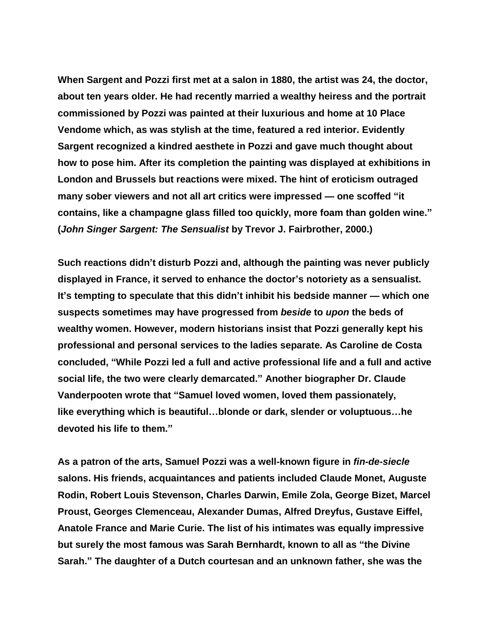**When Sargent and Pozzi first met at a salon in 1880, the artist was 24, the doctor, about ten years older. He had recently married a wealthy heiress and the portrait commissioned by Pozzi was painted at their luxurious and home at 10 Place Vendome which, as was stylish at the time, featured a red interior. Evidently Sargent recognized a kindred aesthete in Pozzi and gave much thought about how to pose him. After its completion the painting was displayed at exhibitions in London and Brussels but reactions were mixed. The hint of eroticism outraged many sober viewers and not all art critics were impressed — one scoffed "it contains, like a champagne glass filled too quickly, more foam than golden wine." (***John Singer Sargent: The Sensualist* **by Trevor J. Fairbrother, 2000.)**

**Such reactions didn't disturb Pozzi and, although the painting was never publicly displayed in France, it served to enhance the doctor's notoriety as a sensualist. It's tempting to speculate that this didn't inhibit his bedside manner — which one suspects sometimes may have progressed from** *beside* **to** *upon* **the beds of wealthy women. However, modern historians insist that Pozzi generally kept his professional and personal services to the ladies separate. As Caroline de Costa concluded, "While Pozzi led a full and active professional life and a full and active social life, the two were clearly demarcated." Another biographer Dr. Claude Vanderpooten wrote that "Samuel loved women, loved them passionately, like everything which is beautiful…blonde or dark, slender or voluptuous…he devoted his life to them."**

**As a patron of the arts, Samuel Pozzi was a well-known figure in** *fin-de-siecle* **salons. His friends, acquaintances and patients included Claude Monet, Auguste Rodin, Robert Louis Stevenson, Charles Darwin, Emile Zola, George Bizet, Marcel Proust, Georges Clemenceau, Alexander Dumas, Alfred Dreyfus, Gustave Eiffel, Anatole France and Marie Curie. The list of his intimates was equally impressive but surely the most famous was Sarah Bernhardt, known to all as "the Divine Sarah." The daughter of a Dutch courtesan and an unknown father, she was the**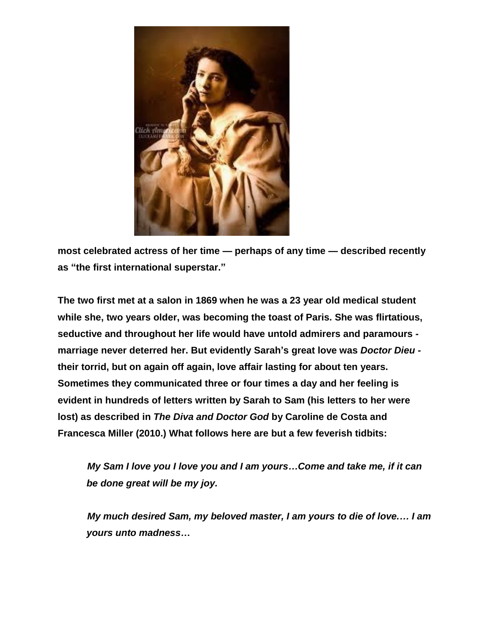

**most celebrated actress of her time — perhaps of any time — described recently as "the first international superstar."**

**The two first met at a salon in 1869 when he was a 23 year old medical student while she, two years older, was becoming the toast of Paris. She was flirtatious, seductive and throughout her life would have untold admirers and paramours marriage never deterred her. But evidently Sarah's great love was** *Doctor Dieu*  **their torrid, but on again off again, love affair lasting for about ten years. Sometimes they communicated three or four times a day and her feeling is evident in hundreds of letters written by Sarah to Sam (his letters to her were lost) as described in** *The Diva and Doctor God* **by Caroline de Costa and Francesca Miller (2010.) What follows here are but a few feverish tidbits:**

*My Sam I love you I love you and I am yours…Come and take me, if it can be done great will be my joy.*

*My much desired Sam, my beloved master, I am yours to die of love.… I am yours unto madness…*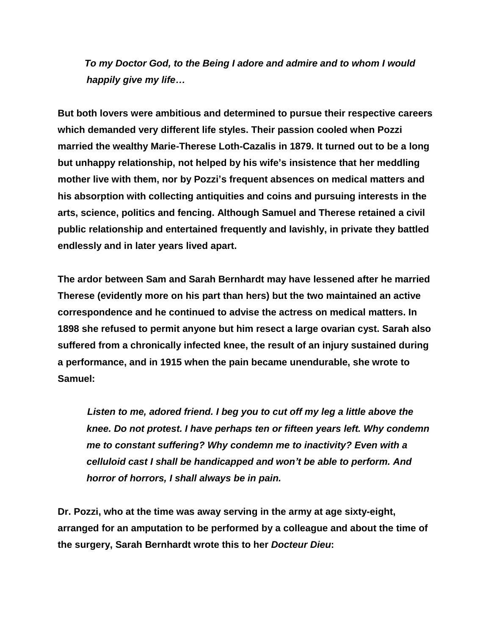*To my Doctor God, to the Being I adore and admire and to whom I would happily give my life…*

**But both lovers were ambitious and determined to pursue their respective careers which demanded very different life styles. Their passion cooled when Pozzi married the wealthy Marie-Therese Loth-Cazalis in 1879. It turned out to be a long but unhappy relationship, not helped by his wife's insistence that her meddling mother live with them, nor by Pozzi's frequent absences on medical matters and his absorption with collecting antiquities and coins and pursuing interests in the arts, science, politics and fencing. Although Samuel and Therese retained a civil public relationship and entertained frequently and lavishly, in private they battled endlessly and in later years lived apart.**

**The ardor between Sam and Sarah Bernhardt may have lessened after he married Therese (evidently more on his part than hers) but the two maintained an active correspondence and he continued to advise the actress on medical matters. In 1898 she refused to permit anyone but him resect a large ovarian cyst. Sarah also suffered from a chronically infected knee, the result of an injury sustained during a performance, and in 1915 when the pain became unendurable, she wrote to Samuel:**

 *Listen to me, adored friend. I beg you to cut off my leg a little above the knee. Do not protest. I have perhaps ten or fifteen years left. Why condemn me to constant suffering? Why condemn me to inactivity? Even with a celluloid cast I shall be handicapped and won't be able to perform. And horror of horrors, I shall always be in pain.*

**Dr. Pozzi, who at the time was away serving in the army at age sixty-eight, arranged for an amputation to be performed by a colleague and about the time of the surgery, Sarah Bernhardt wrote this to her** *Docteur Dieu***:**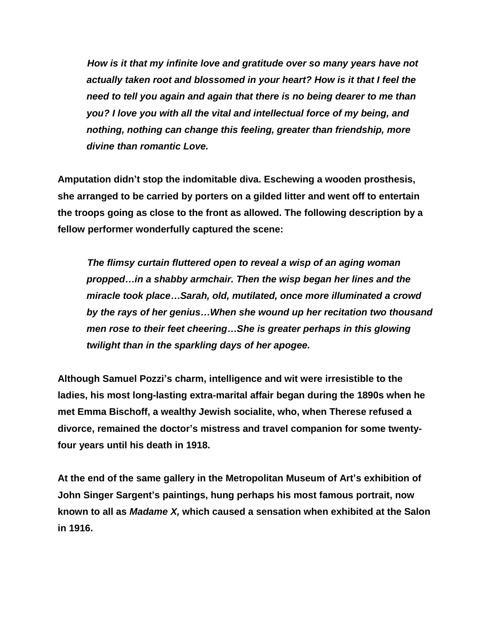*How is it that my infinite love and gratitude over so many years have not actually taken root and blossomed in your heart? How is it that I feel the need to tell you again and again that there is no being dearer to me than you? I love you with all the vital and intellectual force of my being, and nothing, nothing can change this feeling, greater than friendship, more divine than romantic Love.*

**Amputation didn't stop the indomitable diva. Eschewing a wooden prosthesis, she arranged to be carried by porters on a gilded litter and went off to entertain the troops going as close to the front as allowed. The following description by a fellow performer wonderfully captured the scene:**

 *The flimsy curtain fluttered open to reveal a wisp of an aging woman propped…in a shabby armchair. Then the wisp began her lines and the miracle took place…Sarah, old, mutilated, once more illuminated a crowd by the rays of her genius…When she wound up her recitation two thousand men rose to their feet cheering…She is greater perhaps in this glowing twilight than in the sparkling days of her apogee.*

**Although Samuel Pozzi's charm, intelligence and wit were irresistible to the ladies, his most long-lasting extra-marital affair began during the 1890s when he met Emma Bischoff, a wealthy Jewish socialite, who, when Therese refused a divorce, remained the doctor's mistress and travel companion for some twentyfour years until his death in 1918.**

**At the end of the same gallery in the Metropolitan Museum of Art's exhibition of John Singer Sargent's paintings, hung perhaps his most famous portrait, now known to all as** *Madame X,* **which caused a sensation when exhibited at the Salon in 1916.**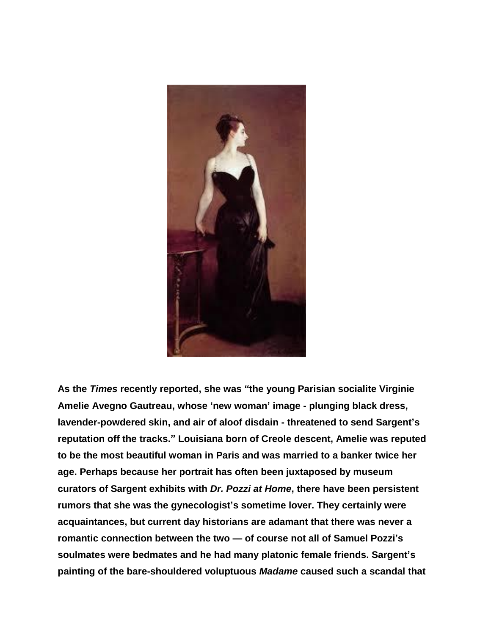

**As the** *Times* **recently reported, she was "the young Parisian socialite Virginie Amelie Avegno Gautreau, whose 'new woman' image - plunging black dress, lavender-powdered skin, and air of aloof disdain - threatened to send Sargent's reputation off the tracks." Louisiana born of Creole descent, Amelie was reputed to be the most beautiful woman in Paris and was married to a banker twice her age. Perhaps because her portrait has often been juxtaposed by museum curators of Sargent exhibits with** *Dr. Pozzi at Home***, there have been persistent rumors that she was the gynecologist's sometime lover. They certainly were acquaintances, but current day historians are adamant that there was never a romantic connection between the two — of course not all of Samuel Pozzi's soulmates were bedmates and he had many platonic female friends. Sargent's painting of the bare-shouldered voluptuous** *Madame* **caused such a scandal that**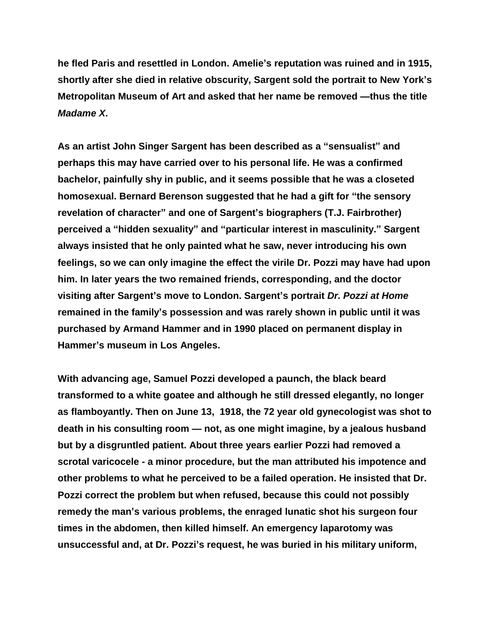**he fled Paris and resettled in London. Amelie's reputation was ruined and in 1915, shortly after she died in relative obscurity, Sargent sold the portrait to New York's Metropolitan Museum of Art and asked that her name be removed —thus the title** *Madame X***.**

**As an artist John Singer Sargent has been described as a "sensualist" and perhaps this may have carried over to his personal life. He was a confirmed bachelor, painfully shy in public, and it seems possible that he was a closeted homosexual. Bernard Berenson suggested that he had a gift for "the sensory revelation of character" and one of Sargent's biographers (T.J. Fairbrother) perceived a "hidden sexuality" and "particular interest in masculinity." Sargent always insisted that he only painted what he saw, never introducing his own feelings, so we can only imagine the effect the virile Dr. Pozzi may have had upon him. In later years the two remained friends, corresponding, and the doctor visiting after Sargent's move to London. Sargent's portrait** *Dr. Pozzi at Home* **remained in the family's possession and was rarely shown in public until it was purchased by Armand Hammer and in 1990 placed on permanent display in Hammer's museum in Los Angeles.**

**With advancing age, Samuel Pozzi developed a paunch, the black beard transformed to a white goatee and although he still dressed elegantly, no longer as flamboyantly. Then on June 13, 1918, the 72 year old gynecologist was shot to death in his consulting room — not, as one might imagine, by a jealous husband but by a disgruntled patient. About three years earlier Pozzi had removed a scrotal varicocele - a minor procedure, but the man attributed his impotence and other problems to what he perceived to be a failed operation. He insisted that Dr. Pozzi correct the problem but when refused, because this could not possibly remedy the man's various problems, the enraged lunatic shot his surgeon four times in the abdomen, then killed himself. An emergency laparotomy was unsuccessful and, at Dr. Pozzi's request, he was buried in his military uniform,**